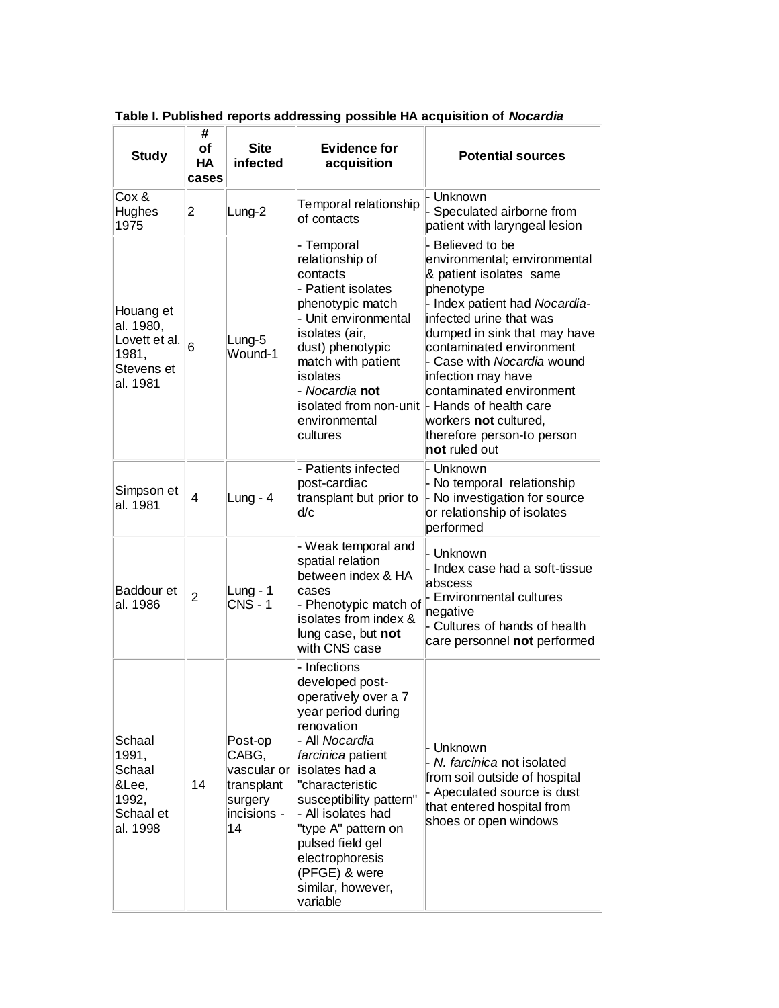| <b>Study</b>                                                               | #<br>of<br>НA<br>cases | <b>Site</b><br>infected                                                       | <b>Evidence for</b><br>acquisition                                                                                                                                                                                                                                                                                                              | <b>Potential sources</b>                                                                                                                                                                                                                                                                                                                                                                                                   |
|----------------------------------------------------------------------------|------------------------|-------------------------------------------------------------------------------|-------------------------------------------------------------------------------------------------------------------------------------------------------------------------------------------------------------------------------------------------------------------------------------------------------------------------------------------------|----------------------------------------------------------------------------------------------------------------------------------------------------------------------------------------------------------------------------------------------------------------------------------------------------------------------------------------------------------------------------------------------------------------------------|
| Cox &<br>Hughes<br>1975                                                    | 2                      | Lung-2                                                                        | Temporal relationship<br>of contacts                                                                                                                                                                                                                                                                                                            | - Unknown<br>Speculated airborne from<br>patient with laryngeal lesion                                                                                                                                                                                                                                                                                                                                                     |
| Houang et<br>al. 1980,<br>Lovett et al.<br>1981,<br>Stevens et<br>al. 1981 | 6                      | Lung-5<br>Wound-1                                                             | - Temporal<br>relationship of<br>contacts<br>- Patient isolates<br>phenotypic match<br>- Unit environmental<br>isolates (air,<br>dust) phenotypic<br>match with patient<br>isolates<br>- Nocardia <b>not</b><br>environmental<br>cultures                                                                                                       | - Believed to be<br>environmental; environmental<br>& patient isolates same<br>phenotype<br>- Index patient had Nocardia-<br>infected urine that was<br>dumped in sink that may have<br>contaminated environment<br>- Case with Nocardia wound<br>infection may have<br>contaminated environment<br>isolated from non-unit  - Hands of health care<br>workers not cultured,<br>therefore person-to person<br>not ruled out |
| Simpson et<br>al. 1981                                                     | 4                      | Lung - $4$                                                                    | Patients infected<br>post-cardiac<br>transplant but prior to<br>d/c                                                                                                                                                                                                                                                                             | - Unknown<br>- No temporal relationship<br>- No investigation for source<br>or relationship of isolates<br>performed                                                                                                                                                                                                                                                                                                       |
| Baddour et<br>al. 1986                                                     | $\overline{2}$         | Lung - $1$<br><b>CNS - 1</b>                                                  | - Weak temporal and<br>spatial relation<br>between index & HA<br>cases<br>- Phenotypic match of<br>isolates from index &<br>lung case, but not<br>with CNS case                                                                                                                                                                                 | - Unknown<br>- Index case had a soft-tissue<br>abscess<br>- Environmental cultures<br>negative<br>- Cultures of hands of health<br>care personnel not performed                                                                                                                                                                                                                                                            |
| Schaal<br>1991,<br>Schaal<br>&Lee,<br>1992,<br>Schaal et<br>al. 1998       | 14                     | Post-op<br>CABG,<br>vascular or<br>transplant<br>surgery<br>incisions -<br>14 | - Infections<br>developed post-<br>operatively over a 7<br>year period during<br>renovation<br>- All <i>Nocardia</i><br>farcinica patient<br>isolates had a<br>"characteristic<br>susceptibility pattern"<br>- All isolates had<br>"type A" pattern on<br>pulsed field gel<br>electrophoresis<br>(PFGE) & were<br>similar, however,<br>variable | - Unknown<br>- N. farcinica not isolated<br>from soil outside of hospital<br>- Apeculated source is dust<br>that entered hospital from<br>shoes or open windows                                                                                                                                                                                                                                                            |

**Table I. Published reports addressing possible HA acquisition of** *Nocardia*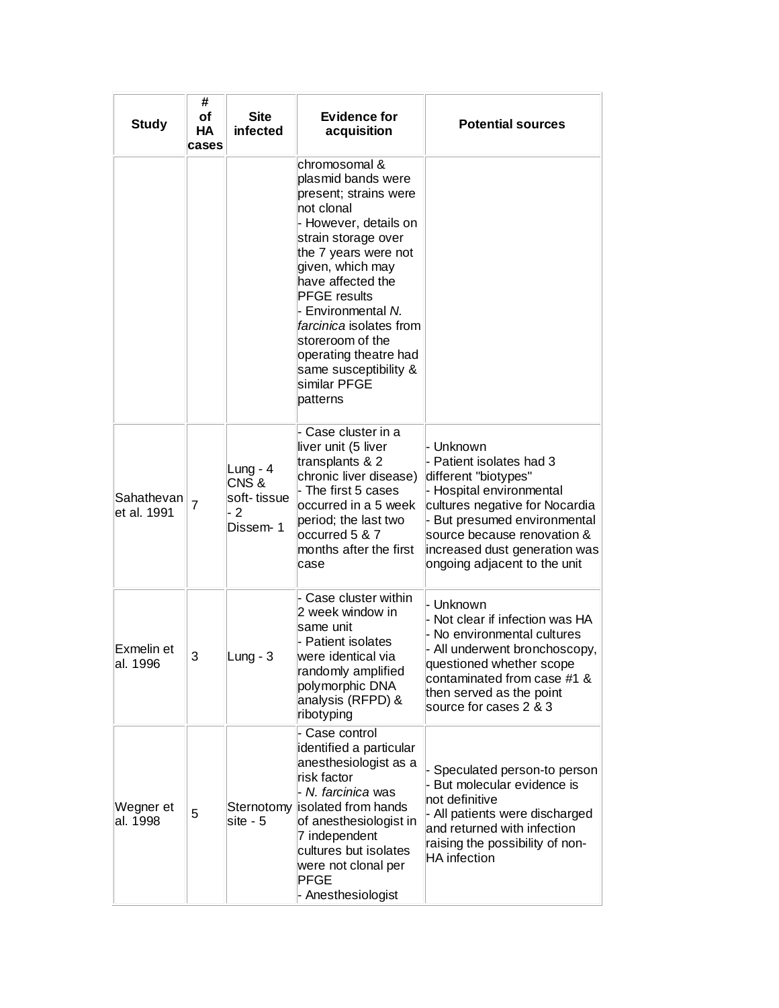| <b>Study</b>              | #<br>οf<br>HA<br>cases | <b>Site</b><br>infected                               | <b>Evidence for</b><br>acquisition                                                                                                                                                                                                                                                                                                                                           | <b>Potential sources</b>                                                                                                                                                                                                                                    |
|---------------------------|------------------------|-------------------------------------------------------|------------------------------------------------------------------------------------------------------------------------------------------------------------------------------------------------------------------------------------------------------------------------------------------------------------------------------------------------------------------------------|-------------------------------------------------------------------------------------------------------------------------------------------------------------------------------------------------------------------------------------------------------------|
|                           |                        |                                                       | chromosomal &<br>plasmid bands were<br>present; strains were<br>not clonal<br>- However, details on<br>strain storage over<br>the 7 years were not<br>given, which may<br>have affected the<br><b>PFGE</b> results<br>- Environmental N.<br><i>farcinica</i> isolates from<br>storeroom of the<br>operating theatre had<br>same susceptibility &<br>similar PFGE<br>patterns |                                                                                                                                                                                                                                                             |
| Sahathevan<br>et al. 1991 | $\overline{7}$         | Lung - $4$<br>CNS&<br>soft-tissue<br>$-2$<br>Dissem-1 | - Case cluster in a<br>liver unit (5 liver<br>transplants & 2<br>chronic liver disease)<br>- The first 5 cases<br>occurred in a 5 week<br>period; the last two<br>occurred 5 & 7<br>months after the first<br>case                                                                                                                                                           | - Unknown<br>- Patient isolates had 3<br>different "biotypes"<br>- Hospital environmental<br>cultures negative for Nocardia<br>- But presumed environmental<br>source because renovation &<br>increased dust generation was<br>ongoing adjacent to the unit |
| Exmelin et<br>al. 1996    | 3                      | Lung - $3$                                            | Case cluster within<br>2 week window in<br>same unit<br>- Patient isolates<br>were identical via<br>randomly amplified<br>polymorphic DNA<br>analysis (RFPD) &<br>ribotyping                                                                                                                                                                                                 | - Unknown<br>Not clear if infection was HA<br>No environmental cultures<br>All underwent bronchoscopy,<br>questioned whether scope<br>contaminated from case #1 &<br>then served as the point<br>source for cases 2 & 3                                     |
| Wegner et<br>al. 1998     | 5                      | Sternotomy<br>site - 5                                | - Case control<br>identified a particular<br>anesthesiologist as a<br>risk factor<br>⊦ <i>N. farcinica</i> was<br>isolated from hands<br>of anesthesiologist in<br>7 independent<br>cultures but isolates<br>were not clonal per<br>PFGE<br>Anesthesiologist                                                                                                                 | Speculated person-to person<br>But molecular evidence is<br>not definitive<br>- All patients were discharged<br>and returned with infection<br>raising the possibility of non-<br>HA infection                                                              |